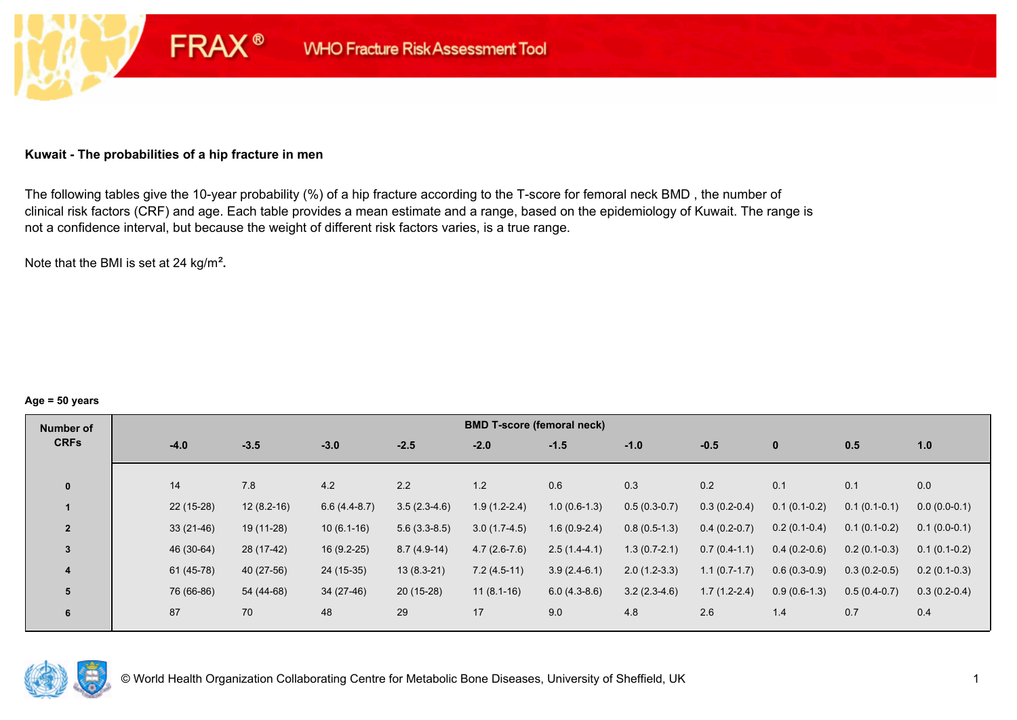### **Kuwait - The probabilities of a hip fracture in men**

**FRAX®** 

The following tables give the 10-year probability (%) of a hip fracture according to the T-score for femoral neck BMD , the number of clinical risk factors (CRF) and age. Each table provides a mean estimate and a range, based on the epidemiology of Kuwait. The range is not a confidence interval, but because the weight of different risk factors varies, is a true range.

Note that the BMI is set at 24 kg/m²**.** 

#### **Age = 50 years**

| Number of      |             |              |                |                | <b>BMD T-score (femoral neck)</b> |                |                |                |                |                |                |
|----------------|-------------|--------------|----------------|----------------|-----------------------------------|----------------|----------------|----------------|----------------|----------------|----------------|
| <b>CRFs</b>    | $-4.0$      | $-3.5$       | $-3.0$         | $-2.5$         | $-2.0$                            | $-1.5$         | $-1.0$         | $-0.5$         | $\mathbf{0}$   | 0.5            | 1.0            |
|                |             |              |                |                |                                   |                |                |                |                |                |                |
| $\mathbf{0}$   | 14          | 7.8          | 4.2            | 2.2            | 1.2                               | 0.6            | 0.3            | 0.2            | 0.1            | 0.1            | 0.0            |
|                | $22(15-28)$ | $12(8.2-16)$ | $6.6(4.4-8.7)$ | $3.5(2.3-4.6)$ | $1.9(1.2-2.4)$                    | $1.0(0.6-1.3)$ | $0.5(0.3-0.7)$ | $0.3(0.2-0.4)$ | $0.1(0.1-0.2)$ | $0.1(0.1-0.1)$ | $0.0(0.0-0.1)$ |
| $\overline{2}$ | $33(21-46)$ | 19 (11-28)   | $10(6.1-16)$   | $5.6(3.3-8.5)$ | $3.0(1.7-4.5)$                    | $1.6(0.9-2.4)$ | $0.8(0.5-1.3)$ | $0.4(0.2-0.7)$ | $0.2(0.1-0.4)$ | $0.1(0.1-0.2)$ | $0.1(0.0-0.1)$ |
| $\overline{3}$ | 46 (30-64)  | 28 (17-42)   | $16(9.2-25)$   | $8.7(4.9-14)$  | $4.7(2.6-7.6)$                    | $2.5(1.4-4.1)$ | $1.3(0.7-2.1)$ | $0.7(0.4-1.1)$ | $0.4(0.2-0.6)$ | $0.2(0.1-0.3)$ | $0.1(0.1-0.2)$ |
| 4              | 61 (45-78)  | 40 (27-56)   | 24 (15-35)     | $13(8.3-21)$   | $7.2(4.5-11)$                     | $3.9(2.4-6.1)$ | $2.0(1.2-3.3)$ | $1.1(0.7-1.7)$ | $0.6(0.3-0.9)$ | $0.3(0.2-0.5)$ | $0.2(0.1-0.3)$ |
| 5              | 76 (66-86)  | 54 (44-68)   | 34 (27-46)     | 20 (15-28)     | $11(8.1-16)$                      | $6.0(4.3-8.6)$ | $3.2(2.3-4.6)$ | $1.7(1.2-2.4)$ | $0.9(0.6-1.3)$ | $0.5(0.4-0.7)$ | $0.3(0.2-0.4)$ |
| 6              | 87          | 70           | 48             | 29             | 17                                | 9.0            | 4.8            | 2.6            | 1.4            | 0.7            | 0.4            |

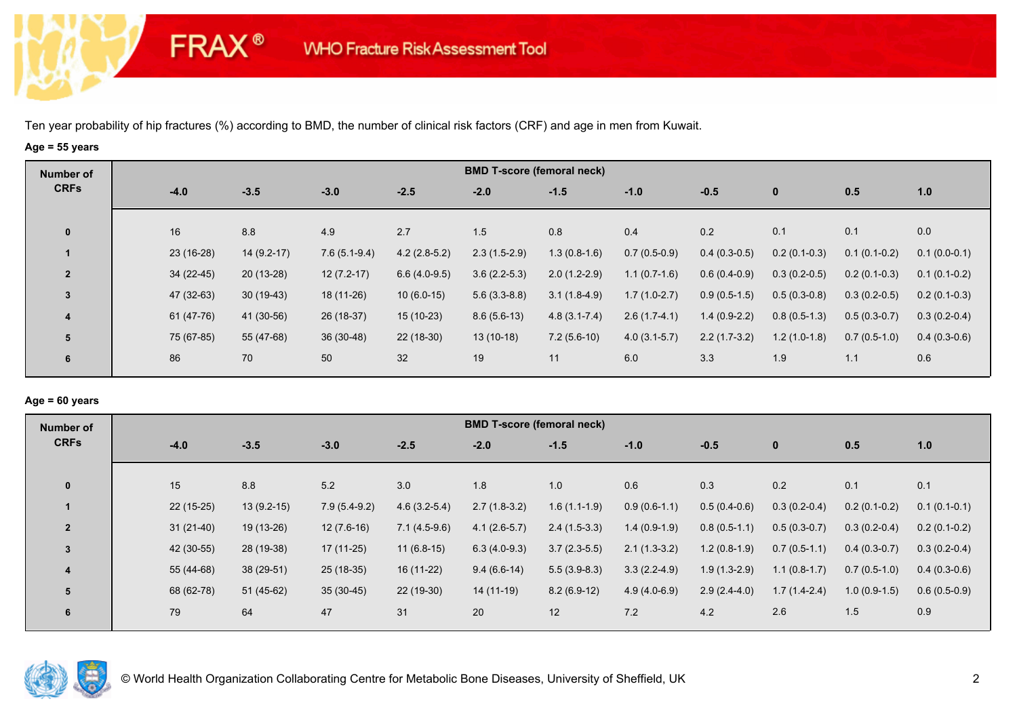**FRAX®** 

# **Age = 55 years**

| Number of      |             |              |                |                | <b>BMD T-score (femoral neck)</b> |                  |                |                |                |                |                |
|----------------|-------------|--------------|----------------|----------------|-----------------------------------|------------------|----------------|----------------|----------------|----------------|----------------|
| <b>CRFs</b>    | $-4.0$      | $-3.5$       | $-3.0$         | $-2.5$         | $-2.0$                            | $-1.5$           | $-1.0$         | $-0.5$         | $\bf{0}$       | 0.5            | 1.0            |
| $\mathbf 0$    | 16          | 8.8          | 4.9            | 2.7            | 1.5                               | 0.8              | 0.4            | 0.2            | 0.1            | 0.1            | 0.0            |
|                | $23(16-28)$ | $14(9.2-17)$ | $7.6(5.1-9.4)$ | $4.2(2.8-5.2)$ | $2.3(1.5-2.9)$                    | $1.3(0.8-1.6)$   | $0.7(0.5-0.9)$ | $0.4(0.3-0.5)$ | $0.2(0.1-0.3)$ | $0.1(0.1-0.2)$ | $0.1(0.0-0.1)$ |
| $\overline{2}$ | $34(22-45)$ | $20(13-28)$  | $12(7.2-17)$   | $6.6(4.0-9.5)$ | $3.6(2.2-5.3)$                    | $2.0(1.2-2.9)$   | $1.1(0.7-1.6)$ | $0.6(0.4-0.9)$ | $0.3(0.2-0.5)$ | $0.2(0.1-0.3)$ | $0.1(0.1-0.2)$ |
| $\mathbf{3}$   | 47 (32-63)  | $30(19-43)$  | 18 (11-26)     | $10(6.0-15)$   | $5.6(3.3-8.8)$                    | $3.1(1.8-4.9)$   | $1.7(1.0-2.7)$ | $0.9(0.5-1.5)$ | $0.5(0.3-0.8)$ | $0.3(0.2-0.5)$ | $0.2(0.1-0.3)$ |
| 4              | 61 (47-76)  | 41 (30-56)   | 26 (18-37)     | $15(10-23)$    | $8.6(5.6-13)$                     | $4.8(3.1 - 7.4)$ | $2.6(1.7-4.1)$ | $1.4(0.9-2.2)$ | $0.8(0.5-1.3)$ | $0.5(0.3-0.7)$ | $0.3(0.2-0.4)$ |
| 5              | 75 (67-85)  | 55 (47-68)   | 36 (30-48)     | 22 (18-30)     | $13(10-18)$                       | $7.2(5.6-10)$    | $4.0(3.1-5.7)$ | $2.2(1.7-3.2)$ | $1.2(1.0-1.8)$ | $0.7(0.5-1.0)$ | $0.4(0.3-0.6)$ |
| 6              | 86          | 70           | 50             | 32             | 19                                | 11               | 6.0            | 3.3            | 1.9            | 1.1            | 0.6            |

## **Age = 60 years**

| Number of      |             |              |                |                | <b>BMD T-score (femoral neck)</b> |                |                |                |                |                |                |
|----------------|-------------|--------------|----------------|----------------|-----------------------------------|----------------|----------------|----------------|----------------|----------------|----------------|
| <b>CRFs</b>    | $-4.0$      | $-3.5$       | $-3.0$         | $-2.5$         | $-2.0$                            | $-1.5$         | $-1.0$         | $-0.5$         | $\mathbf{0}$   | 0.5            | 1.0            |
| $\mathbf{0}$   | 15          | 8.8          | 5.2            | 3.0            | 1.8                               | 1.0            | 0.6            | 0.3            | 0.2            | 0.1            | 0.1            |
|                | $22(15-25)$ | $13(9.2-15)$ | $7.9(5.4-9.2)$ | $4.6(3.2-5.4)$ | $2.7(1.8-3.2)$                    | $1.6(1.1-1.9)$ | $0.9(0.6-1.1)$ | $0.5(0.4-0.6)$ | $0.3(0.2-0.4)$ | $0.2(0.1-0.2)$ | $0.1(0.1-0.1)$ |
| $\overline{2}$ | $31(21-40)$ | 19 (13-26)   | $12(7.6-16)$   | $7.1(4.5-9.6)$ | $4.1(2.6-5.7)$                    | $2.4(1.5-3.3)$ | $1.4(0.9-1.9)$ | $0.8(0.5-1.1)$ | $0.5(0.3-0.7)$ | $0.3(0.2-0.4)$ | $0.2(0.1-0.2)$ |
| 3              | 42 (30-55)  | 28 (19-38)   | $17(11-25)$    | $11(6.8-15)$   | $6.3(4.0-9.3)$                    | $3.7(2.3-5.5)$ | $2.1(1.3-3.2)$ | $1.2(0.8-1.9)$ | $0.7(0.5-1.1)$ | $0.4(0.3-0.7)$ | $0.3(0.2-0.4)$ |
| 4              | 55 (44-68)  | 38 (29-51)   | 25 (18-35)     | 16 (11-22)     | $9.4(6.6-14)$                     | $5.5(3.9-8.3)$ | $3.3(2.2-4.9)$ | $1.9(1.3-2.9)$ | $1.1(0.8-1.7)$ | $0.7(0.5-1.0)$ | $0.4(0.3-0.6)$ |
| 5              | 68 (62-78)  | $51(45-62)$  | $35(30-45)$    | 22 (19-30)     | 14 (11-19)                        | $8.2(6.9-12)$  | $4.9(4.0-6.9)$ | $2.9(2.4-4.0)$ | $1.7(1.4-2.4)$ | $1.0(0.9-1.5)$ | $0.6(0.5-0.9)$ |
| 6              | 79          | 64           | 47             | 31             | 20                                | 12             | 7.2            | 4.2            | 2.6            | 1.5            | 0.9            |

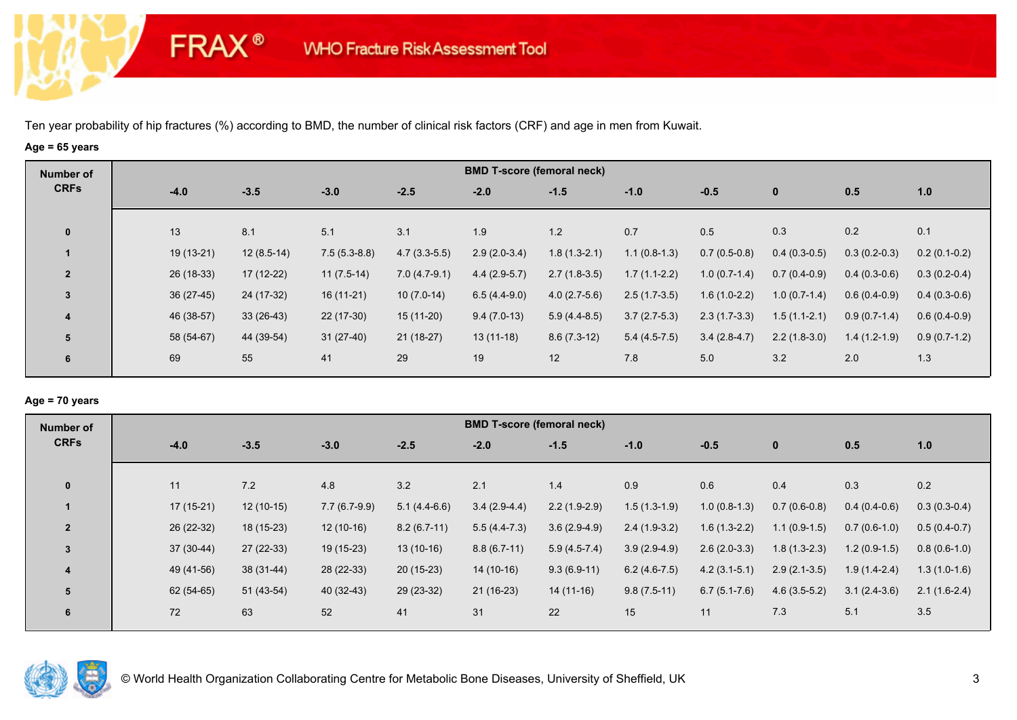**FRAX®** 

# **Age = 65 years**

| Number of      |             |              |                |                | <b>BMD T-score (femoral neck)</b> |                |                |                |                |                |                |
|----------------|-------------|--------------|----------------|----------------|-----------------------------------|----------------|----------------|----------------|----------------|----------------|----------------|
| <b>CRFs</b>    | $-4.0$      | $-3.5$       | $-3.0$         | $-2.5$         | $-2.0$                            | $-1.5$         | $-1.0$         | $-0.5$         | $\mathbf 0$    | 0.5            | 1.0            |
|                | 13          | 8.1          | 5.1            |                |                                   |                | 0.7            | 0.5            |                |                |                |
| $\mathbf 0$    |             |              |                | 3.1            | 1.9                               | 1.2            |                |                | 0.3            | 0.2            | 0.1            |
|                | 19 (13-21)  | $12(8.5-14)$ | $7.5(5.3-8.8)$ | $4.7(3.3-5.5)$ | $2.9(2.0-3.4)$                    | $1.8(1.3-2.1)$ | $1.1(0.8-1.3)$ | $0.7(0.5-0.8)$ | $0.4(0.3-0.5)$ | $0.3(0.2-0.3)$ | $0.2(0.1-0.2)$ |
| $\overline{2}$ | 26 (18-33)  | $17(12-22)$  | $11(7.5-14)$   | $7.0(4.7-9.1)$ | $4.4(2.9-5.7)$                    | $2.7(1.8-3.5)$ | $1.7(1.1-2.2)$ | $1.0(0.7-1.4)$ | $0.7(0.4-0.9)$ | $0.4(0.3-0.6)$ | $0.3(0.2-0.4)$ |
| 3              | $36(27-45)$ | 24 (17-32)   | $16(11-21)$    | $10(7.0-14)$   | $6.5(4.4-9.0)$                    | $4.0(2.7-5.6)$ | $2.5(1.7-3.5)$ | $1.6(1.0-2.2)$ | $1.0(0.7-1.4)$ | $0.6(0.4-0.9)$ | $0.4(0.3-0.6)$ |
| 4              | 46 (38-57)  | $33(26-43)$  | 22 (17-30)     | $15(11-20)$    | $9.4(7.0-13)$                     | $5.9(4.4-8.5)$ | $3.7(2.7-5.3)$ | $2.3(1.7-3.3)$ | $1.5(1.1-2.1)$ | $0.9(0.7-1.4)$ | $0.6(0.4-0.9)$ |
| 5              | 58 (54-67)  | 44 (39-54)   | $31(27-40)$    | $21(18-27)$    | $13(11-18)$                       | $8.6(7.3-12)$  | $5.4(4.5-7.5)$ | $3.4(2.8-4.7)$ | $2.2(1.8-3.0)$ | $1.4(1.2-1.9)$ | $0.9(0.7-1.2)$ |
| 6              | 69          | 55           | 41             | 29             | 19                                | 12             | 7.8            | 5.0            | 3.2            | 2.0            | 1.3            |
|                |             |              |                |                |                                   |                |                |                |                |                |                |

## **Age = 70 years**

| Number of      |             |             |                |                | <b>BMD T-score (femoral neck)</b> |                |                |                  |                |                |                |
|----------------|-------------|-------------|----------------|----------------|-----------------------------------|----------------|----------------|------------------|----------------|----------------|----------------|
| <b>CRFs</b>    | $-4.0$      | $-3.5$      | $-3.0$         | $-2.5$         | $-2.0$                            | $-1.5$         | $-1.0$         | $-0.5$           | $\mathbf 0$    | 0.5            | 1.0            |
|                |             |             |                |                |                                   |                |                |                  |                |                |                |
| $\mathbf{0}$   | 11          | 7.2         | 4.8            | 3.2            | 2.1                               | 1.4            | 0.9            | 0.6              | 0.4            | 0.3            | 0.2            |
|                | $17(15-21)$ | $12(10-15)$ | $7.7(6.7-9.9)$ | $5.1(4.4-6.6)$ | $3.4(2.9-4.4)$                    | $2.2(1.9-2.9)$ | $1.5(1.3-1.9)$ | $1.0(0.8-1.3)$   | $0.7(0.6-0.8)$ | $0.4(0.4-0.6)$ | $0.3(0.3-0.4)$ |
| $\overline{2}$ | 26 (22-32)  | 18 (15-23)  | $12(10-16)$    | $8.2(6.7-11)$  | $5.5(4.4-7.3)$                    | $3.6(2.9-4.9)$ | $2.4(1.9-3.2)$ | $1.6(1.3-2.2)$   | $1.1(0.9-1.5)$ | $0.7(0.6-1.0)$ | $0.5(0.4-0.7)$ |
| $\overline{3}$ | $37(30-44)$ | $27(22-33)$ | $19(15-23)$    | $13(10-16)$    | $8.8(6.7-11)$                     | $5.9(4.5-7.4)$ | $3.9(2.9-4.9)$ | $2.6(2.0-3.3)$   | $1.8(1.3-2.3)$ | $1.2(0.9-1.5)$ | $0.8(0.6-1.0)$ |
| 4              | 49 (41-56)  | 38 (31-44)  | 28 (22-33)     | $20(15-23)$    | 14 (10-16)                        | $9.3(6.9-11)$  | $6.2(4.6-7.5)$ | $4.2(3.1-5.1)$   | $2.9(2.1-3.5)$ | $1.9(1.4-2.4)$ | $1.3(1.0-1.6)$ |
| 5              | $62(54-65)$ | 51 (43-54)  | 40 (32-43)     | 29 (23-32)     | $21(16-23)$                       | $14(11-16)$    | $9.8(7.5-11)$  | $6.7(5.1 - 7.6)$ | $4.6(3.5-5.2)$ | $3.1(2.4-3.6)$ | $2.1(1.6-2.4)$ |
| 6              | 72          | 63          | 52             | 41             | 31                                | 22             | 15             | 11               | 7.3            | 5.1            | 3.5            |
|                |             |             |                |                |                                   |                |                |                  |                |                |                |

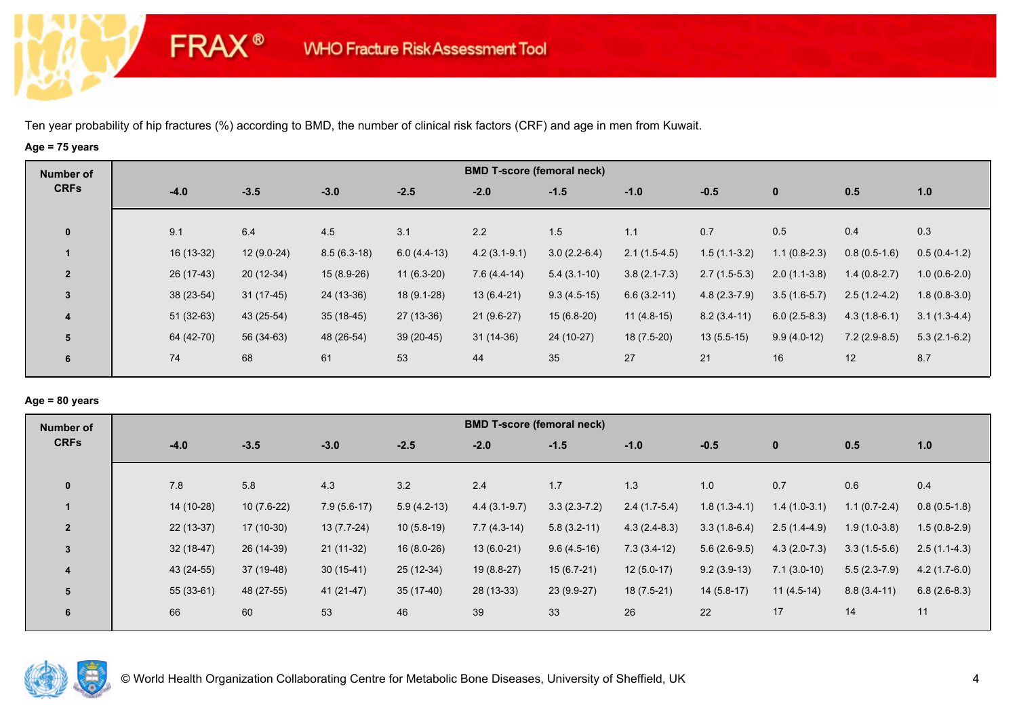**FRAX®** 

# **Age = 75 years**

| Number of      |             |              |               |               | <b>BMD T-score (femoral neck)</b> |                |                  |                |                |                |                |
|----------------|-------------|--------------|---------------|---------------|-----------------------------------|----------------|------------------|----------------|----------------|----------------|----------------|
| <b>CRFs</b>    | $-4.0$      | $-3.5$       | $-3.0$        | $-2.5$        | $-2.0$                            | $-1.5$         | $-1.0$           | $-0.5$         | $\mathbf 0$    | 0.5            | 1.0            |
|                |             |              |               |               |                                   |                |                  |                |                |                |                |
| $\mathbf 0$    | 9.1         | 6.4          | 4.5           | 3.1           | 2.2                               | 1.5            | 1.1              | 0.7            | 0.5            | 0.4            | 0.3            |
|                | 16 (13-32)  | $12(9.0-24)$ | $8.5(6.3-18)$ | $6.0(4.4-13)$ | $4.2(3.1-9.1)$                    | $3.0(2.2-6.4)$ | $2.1(1.5-4.5)$   | $1.5(1.1-3.2)$ | $1.1(0.8-2.3)$ | $0.8(0.5-1.6)$ | $0.5(0.4-1.2)$ |
| $\overline{2}$ | 26 (17-43)  | $20(12-34)$  | 15 (8.9-26)   | $11(6.3-20)$  | $7.6(4.4-14)$                     | $5.4(3.1-10)$  | $3.8(2.1 - 7.3)$ | $2.7(1.5-5.3)$ | $2.0(1.1-3.8)$ | $1.4(0.8-2.7)$ | $1.0(0.6-2.0)$ |
| 3              | 38 (23-54)  | $31(17-45)$  | 24 (13-36)    | $18(9.1-28)$  | $13(6.4-21)$                      | $9.3(4.5-15)$  | $6.6(3.2-11)$    | $4.8(2.3-7.9)$ | $3.5(1.6-5.7)$ | $2.5(1.2-4.2)$ | $1.8(0.8-3.0)$ |
| 4              | $51(32-63)$ | 43 (25-54)   | $35(18-45)$   | $27(13-36)$   | $21(9.6-27)$                      | $15(6.8-20)$   | $11(4.8-15)$     | $8.2(3.4-11)$  | $6.0(2.5-8.3)$ | $4.3(1.8-6.1)$ | $3.1(1.3-4.4)$ |
| 5              | 64 (42-70)  | 56 (34-63)   | 48 (26-54)    | 39 (20-45)    | $31(14-36)$                       | 24 (10-27)     | 18 (7.5-20)      | $13(5.5-15)$   | $9.9(4.0-12)$  | $7.2(2.9-8.5)$ | $5.3(2.1-6.2)$ |
| 6              | 74          | 68           | 61            | 53            | 44                                | 35             | 27               | 21             | 16             | 12             | 8.7            |
|                |             |              |               |               |                                   |                |                  |                |                |                |                |

## **Age = 80 years**

| <b>Number of</b> |             |              |               |               | <b>BMD T-score (femoral neck)</b> |                |                |                |                |                |                |
|------------------|-------------|--------------|---------------|---------------|-----------------------------------|----------------|----------------|----------------|----------------|----------------|----------------|
| <b>CRFs</b>      | $-4.0$      | $-3.5$       | $-3.0$        | $-2.5$        | $-2.0$                            | $-1.5$         | $-1.0$         | $-0.5$         | $\mathbf{0}$   | 0.5            | 1.0            |
| $\mathbf{0}$     | 7.8         | 5.8          | 4.3           | 3.2           | 2.4                               | 1.7            | 1.3            | 1.0            | 0.7            | 0.6            | 0.4            |
|                  | 14 (10-28)  | $10(7.6-22)$ | $7.9(5.6-17)$ | $5.9(4.2-13)$ | $4.4(3.1-9.7)$                    | $3.3(2.3-7.2)$ | $2.4(1.7-5.4)$ | $1.8(1.3-4.1)$ | $1.4(1.0-3.1)$ | $1.1(0.7-2.4)$ | $0.8(0.5-1.8)$ |
| $\overline{2}$   | 22 (13-37)  | $17(10-30)$  | $13(7.7-24)$  | $10(5.8-19)$  | $7.7(4.3-14)$                     | $5.8(3.2-11)$  | $4.3(2.4-8.3)$ | $3.3(1.8-6.4)$ | $2.5(1.4-4.9)$ | $1.9(1.0-3.8)$ | $1.5(0.8-2.9)$ |
| $\overline{3}$   | $32(18-47)$ | 26 (14-39)   | $21(11-32)$   | $16(8.0-26)$  | $13(6.0-21)$                      | $9.6(4.5-16)$  | $7.3(3.4-12)$  | $5.6(2.6-9.5)$ | $4.3(2.0-7.3)$ | $3.3(1.5-5.6)$ | $2.5(1.1-4.3)$ |
| 4                | 43 (24-55)  | 37 (19-48)   | $30(15-41)$   | 25 (12-34)    | 19 (8.8-27)                       | $15(6.7-21)$   | $12(5.0-17)$   | $9.2(3.9-13)$  | $7.1(3.0-10)$  | $5.5(2.3-7.9)$ | $4.2(1.7-6.0)$ |
| 5                | $55(33-61)$ | 48 (27-55)   | 41 (21-47)    | $35(17-40)$   | 28 (13-33)                        | 23 (9.9-27)    | $18(7.5-21)$   | $14(5.8-17)$   | $11(4.5-14)$   | $8.8(3.4-11)$  | $6.8(2.6-8.3)$ |
| 6                | 66          | 60           | 53            | 46            | 39                                | 33             | 26             | 22             | 17             | 14             | 11             |